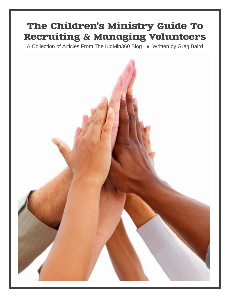# The Children's Ministry Guide To **Recruiting & Managing Volunteers**

A Collection of Articles From The KidMin360 Blog ● Written by Greg Baird

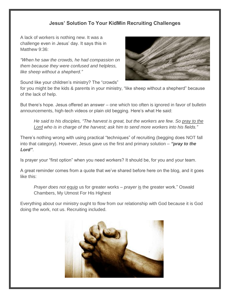## **Jesus' Solution To Your KidMin Recruiting Challenges**

A lack of workers is nothing new. It was a challenge even in Jesus' day. It says this in Matthew 9:36:

*"When he saw the crowds, he had compassion on them because they were confused and helpless, like sheep without a shepherd."*



Sound like your children's ministry? The "crowds"

for you might be the kids & parents in your ministry, "like sheep without a shepherd" because of the lack of help.

But there's hope. Jesus offered an answer – one which too often is ignored in favor of bulletin announcements, high-tech videos or plain old begging. Here's what He said:

*He said to his disciples, "The harvest is great, but the workers are few. So pray to the Lord who is in charge of the harvest; ask him to send more workers into his fields."*

There's nothing wrong with using practical "techniques" of recruiting (begging does NOT fall into that category). However, Jesus gave us the first and primary solution – *"pray to the Lord"*.

Is prayer your "first option" when you need workers? It should be, for you and your team.

A great reminder comes from a quote that we've shared before here on the blog, and it goes like this:

*Prayer does not* equip us for greater works – *prayer* is the greater work." Oswald Chambers, My Utmost For His Highest

Everything about our ministry ought to flow from our relationship with God because it is God doing the work, not us. Recruiting included.

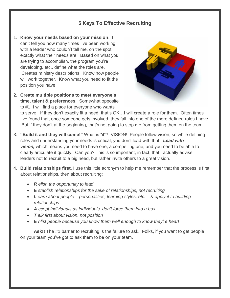## **5 Keys To Effective Recruiting**

- 1. **Know your needs based on your mission**. I can't tell you how many times I've been working with a leader who couldn't tell me, on the spot, exactly what their needs are. Based on what you are trying to accomplish, the program you're developing, etc., define what the roles are. Creates ministry descriptions. Know how people will work together. Know what you need to fit the position you have.
- 2. **Create multiple positions to meet everyone's time, talent & preferences.** Somewhat opposite to #1, I will find a place for everyone who wants



to serve. If they don't exactly fit a need, that's OK…I will create a role for them. Often times I've found that, once someone gets involved, they fall into one of the more defined roles I have. But if they don't at the beginning, that's not going to stop me from getting them on the team.

- 3. **"Build it and they will come!"** What is "it"? VISION! People follow vision, so while defining roles and understanding your needs is critical, you don't lead with that. *Lead with vision,* which means you need to have one, a compelling one, and you need to be able to clearly articulate it quickly. Can you? This is so important, in fact, that I actually advise leaders not to recruit to a big need, but rather invite others to a great vision.
- 4. **Build relationships first.** I use this little acronym to help me remember that the process is first about relationships, then about recruiting:
	- *R elish the opportunity to lead*
	- *E stablish relationships for the sake of relationships, not recruiting*
	- *L earn about people – personalities, learning styles, etc. – & apply it to building relationships*
	- *A ccept individuals as individuals, don't force them into a box*
	- *T alk first about vision, not position*
	- *E nlist people because you know them well enough to know they're heart*

Ask!! The #1 barrier to recruiting is the failure to ask. Folks, if you want to get people on your team you've got to ask them to be on your team.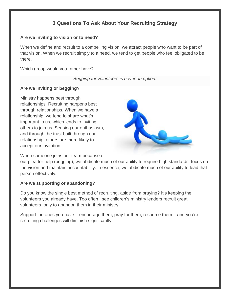## **3 Questions To Ask About Your Recruiting Strategy**

#### **Are we inviting to vision or to need?**

When we define and recruit to a compelling vision, we attract people who want to be part of that vision. When we recruit simply to a need, we tend to get people who feel obligated to be there.

Which group would you rather have?

*Begging for volunteers is never an option!*

#### **Are we inviting or begging?**

Ministry happens best through relationships. Recruiting happens best through relationships. When we have a relationship, we tend to share what's important to us, which leads to inviting others to join us. Sensing our enthusiasm, and through the trust built through our relationship, others are more likely to accept our invitation.



When someone joins our team because of

our plea for help (begging), we abdicate much of our ability to require high standards, focus on the vision and maintain accountability. In essence, we abdicate much of our ability to lead that person effectively.

#### **Are we supporting or abandoning?**

Do you know the single best method of recruiting, aside from praying? It's keeping the volunteers you already have. Too often I see children's ministry leaders recruit great volunteers, only to abandon them in their ministry.

Support the ones you have – encourage them, pray for them, resource them – and you're recruiting challenges will diminish significantly.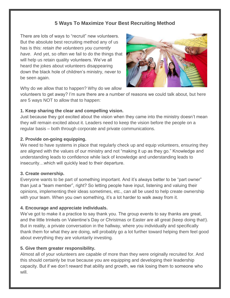## **5 Ways To Maximize Your Best Recruiting Method**

There are lots of ways to "recruit" new volunteers. But the absolute best recruiting method any of us has is this: *retain the volunteers you currently have*. And yet, so often we fail to do the things that will help us retain quality volunteers. We've all heard the jokes about volunteers disappearing down the black hole of children's ministry, never to be seen again.



Why do we allow that to happen? Why do we allow

volunteers to get away? I'm sure there are a number of reasons we could talk about, but here are 5 ways NOT to allow that to happen:

## **1. Keep sharing the clear and compelling vision.**

Just because they got excited about the vision when they came into the ministry doesn't mean they will remain excited about it. Leaders need to keep the vision before the people on a regular basis – both through corporate and private communications.

## **2. Provide on-going equipping.**

We need to have systems in place that regularly check up and equip volunteers, ensuring they are aligned with the values of our ministry and not "making it up as they go." Knowledge and understanding leads to confidence while lack of knowledge and understanding leads to insecurity…which will quickly lead to their departure.

## **3. Create ownership.**

Everyone wants to be part of something important. And it's always better to be "part owner" than just a "team member", right? So letting people have input, listening and valuing their opinions, implementing their ideas sometimes, etc., can all be used to help create ownership with your team. When you own something, it's a lot harder to walk away from it.

## **4. Encourage and appreciate individuals.**

We've got to make it a practice to say thank you. The group events to say thanks are great, and the little trinkets on Valentine's Day or Christmas or Easter are all great (keep doing that!). But in reality, a private conversation in the hallway, where you individually and specifically thank them for what they are doing, will probably go a lot further toward helping them feel good about everything they are voluntarily investing.

## **5. Give them greater responsibility.**

Almost all of your volunteers are capable of more than they were originally recruited for. And this should certainly be true because you are equipping and developing their leadership capacity. But if we don't reward that ability and growth, we risk losing them to someone who will.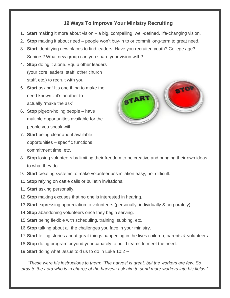## **19 Ways To Improve Your Ministry Recruiting**

- 1. **Start** making it more about vision a big, compelling, well-defined, life-changing vision.
- 2. **Stop** making it about need people won't buy-in to or commit long-term to great need.
- 3. **Start** identifying new places to find leaders. Have you recruited youth? College age? Seniors? What new group can you share your vision with?
- 4. **Stop** doing it alone. Equip other leaders (your core leaders, staff, other church staff, etc.) to recruit with you.
- 5. **Start** asking! It's one thing to make the need known…it's another to actually "make the ask".
- 6. **Stop** pigeon-holing people have multiple opportunities available for the people you speak with.
- 7. **Start** being clear about available opportunities – specific functions, commitment time, etc.



- 8. **Stop** losing volunteers by limiting their freedom to be creative and bringing their own ideas to what they do.
- 9. **Start** creating systems to make volunteer assimilation easy, not difficult.
- 10.**Stop** relying on cattle calls or bulletin invitations.
- 11.**Start** asking personally.
- 12.**Stop** making excuses that no one is interested in hearing.
- 13.**Start** expressing appreciation to volunteers (personally, individually & corporately).
- 14.**Stop** abandoning volunteers once they begin serving.
- 15.**Start** being flexible with scheduling, training, subbing, etc.
- 16.**Stop** talking about all the challenges you face in your ministry.
- 17.**Start** telling stories about great things happening in the lives children, parents & volunteers.
- 18.**Stop** doing program beyond your capacity to build teams to meet the need.
- 19.**Start** doing what Jesus told us to do in Luke 10:2 ~

*"These were his instructions to them: "The harvest is great, but the workers are few. So pray to the Lord who is in charge of the harvest; ask him to send more workers into his fields."*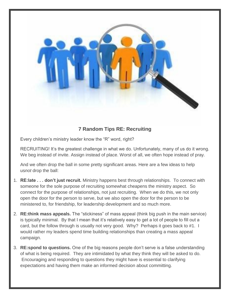

## **7 Random Tips RE: Recruiting**

Every children's ministry leader know the "R" word, right?

RECRUITING! It's the greatest challenge in what we do. Unfortunately, many of us do it wrong. We beg instead of invite. Assign instead of place. Worst of all, we often hope instead of pray.

And we often drop the ball in some pretty significant areas. Here are a few ideas to help us*not* drop the ball:

- 1. **RE:late . . . don't just recruit.** Ministry happens best through relationships. To connect with someone for the sole purpose of recruiting somewhat cheapens the ministry aspect. So connect for the purpose of relationships, not just recruiting. When we do this, we not only open the door for the person to serve, but we also open the door for the person to be ministered to, for friendship, for leadership development and so much more.
- 2. **RE:think mass appeals.** The "stickiness" of mass appeal (think big push in the main service) is typically minimal. By that I mean that it's relatively easy to get a lot of people to fill out a card, but the follow through is usually not very good. Why? Perhaps it goes back to #1. I would rather my leaders spend time building relationships than creating a mass appeal campaign.
- 3. **RE:spond to questions.** One of the big reasons people don't serve is a false understanding of what is being required. They are intimidated by what they think they will be asked to do. Encouraging and responding to questions they might have is essential to clarifying expectations and having them make an informed decision about committing.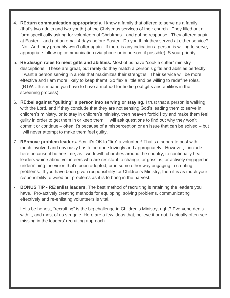- 4. **RE:turn communication appropriately.** I know a family that offered to serve as a family (that's two adults and two youth!) at the Christmas services of their church. They filled out a form specifically asking for volunteers at Christmas…and got no response. They offered again at Easter – and got an email 4 days before Easter. Do you think they served at either service? No. And they probably won't offer again. If there is any indication a person is willing to serve, appropriate follow-up communication (via phone or in person, if possible) IS your priority.
- 5. **RE:design roles to meet gifts and abilities.** Most of us have "cookie cutter" ministry descriptions. These are great, but rarely do they match a person's gifts and abilities perfectly. I want a person serving in a role that maximizes their strengths. Their service will be more effective and I am more likely to keep them! So flex a little and be willing to redefine roles. (BTW…this means you have to have a method for finding out gifts and abilities in the screening process).
- 6. **RE:bel against "guilting" a person into serving or staying.** I trust that a person is walking with the Lord, and if they conclude that they are not sensing God's leading them to serve in children's ministry, or to stay in children's ministry, then heaven forbid I try and make them feel guilty in order to get them in or keep them. I will ask questions to find out why they won't commit or continue – often it's because of a misperception or an issue that can be solved – but I will never attempt to make them feel guilty.
- 7. **RE:move problem leaders.** Yes, it's OK to "fire" a volunteer! That's a separate post with much involved and obviously has to be done lovingly and appropriately. However, I include it here because it bothers me, as I work with churches around the country, to continually hear leaders whine about volunteers who are resistant to change, or gossips, or actively engaged in undermining the vision that's been adopted, or in some other way engaging in creating problems. If you have been given responsibility for Children's Ministry, then it is as much your responsibility to weed out problems as it is to bring in the harvest.
- **BONUS TIP - RE:enlist leaders.** The best method of recruiting is retaining the leaders you have. Pro-actively creating methods for equipping, solving problems, communicating effectively and re-enlisting volunteers is vital.

Let's be honest, "recruiting" is the big challenge in Children's Ministry, right? Everyone deals with it, and most of us struggle. Here are a few ideas that, believe it or not, I actually often see missing in the leaders' recruiting approach.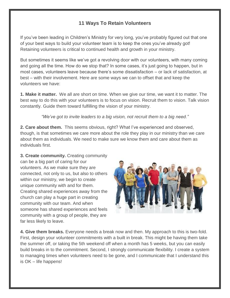## **11 Ways To Retain Volunteers**

If you've been leading in Children's Ministry for very long, you've probably figured out that one of your best ways to build your volunteer team is to keep the ones you've already got! Retaining volunteers is critical to continued health and growth in your ministry.

But sometimes it seems like we've got a revolving door with our volunteers, with many coming and going all the time. How do we stop that? In some cases, it's just going to happen, but in most cases, volunteers leave because there's some dissatisfaction – or lack of satisfaction, at best – with their involvement. Here are some ways we can to offset that and keep the volunteers we have:

**1. Make it matter.** We all are short on time. When we give our time, we want it to matter. The best way to do this with your volunteers is to focus on vision. Recruit them to vision. Talk vision constantly. Guide them toward fulfilling the vision of your ministry.

*"We've got to invite leaders to a big vision, not recruit them to a big need."*

**2. Care about them.** This seems obvious, right? What I've experienced and observed, though, is that sometimes we care more about the role they play in our ministry than we care about them as individuals. We need to make sure we know them and care about them as individuals first.

**3. Create community.** Creating community can be a big part of caring for our volunteers. As we make sure they are connected, not only to us, but also to others within our ministry, we begin to create unique community with and for them. Creating shared experiences away from the church can play a huge part in creating community with our team. And when someone has shared experiences and feels community with a group of people, they are far less likely to leave.



**4. Give them breaks.** Everyone needs a break now and then. My approach to this is two-fold. First, design your volunteer commitments with a built in break. This might be having them take the summer off, or taking the 5th weekend off when a month has 5 weeks, but you can easily build breaks in to the commitment. Second, I strongly communicate flexibility. I create a system to managing times when volunteers need to be gone, and I communicate that I understand this is OK – life happens!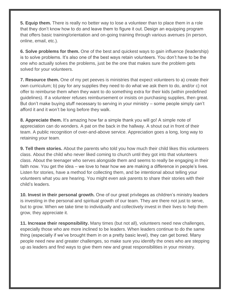**5. Equip them.** There is really no better way to lose a volunteer than to place them in a role that they don't know how to do and leave them to figure it out. Design an equipping program that offers basic training/orientation and on-going training through various avenues (in person, online, email, etc.).

**6. Solve problems for them.** One of the best and quickest ways to gain influence (leadership) is to solve problems. It's also one of the best ways retain volunteers. You don't have to be the one who actually solves the problems, just be the one that makes sure the problem gets solved for your volunteers.

**7. Resource them.** One of my pet peeves is ministries that expect volunteers to a) create their own curriculum; b) pay for any supplies they need to do what we ask them to do, and/or c) not offer to reimburse them when they want to do something extra for their kids (within predefined guidelines). If a volunteer refuses reimbursement or insists on purchasing supplies, then great. But don't make buying stuff necessary to serving in your ministry – some people simply can't afford it and it won't be long before they walk.

**8. Appreciate them.** It's amazing how far a simple thank you will go! A simple note of appreciation can do wonders. A pat on the back in the hallway. A shout out in front of their team. A public recognition of over-and-above service. Appreciation goes a long, long way to retaining your team.

**9. Tell them stories.** About the parents who told you how much their child likes this volunteers class. About the child who never liked coming to church until they got into that volunteers class. About the teenager who serves alongside them and seems to really be engaging in their faith now. You get the idea – we love to hear how we are making a difference in people's lives. Listen for stories, have a method for collecting them, and be intentional about telling your volunteers what you are hearing. You might even ask parents to share their stories with their child's leaders.

**10. Invest in their personal growth.** One of our great privileges as children's ministry leaders is investing in the personal and spiritual growth of our team. They are there not just to serve, but to grow. When we take time to individually and collectively invest in their lives to help them grow, they appreciate it.

**11. Increase their responsibility.** Many times (but not all), volunteers need new challenges, especially those who are more inclined to be leaders. When leaders continue to do the same thing (especially if we've brought them in on a pretty basic level), they can get bored. Many people need new and greater challenges, so make sure you identify the ones who are stepping up as leaders and find ways to give them new and great responsibilities in your ministry.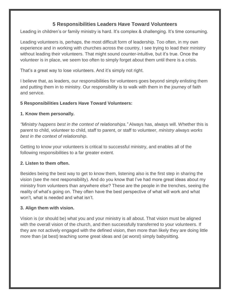## **5 Responsibilities Leaders Have Toward Volunteers**

Leading in children's or family ministry is hard. It's complex & challenging. It's time consuming.

Leading volunteers is, perhaps, the most difficult form of leadership. Too often, in my own experience and in working with churches across the country, I see trying to lead their ministry without leading their volunteers. That might sound counter-intuitive, but it's true. Once the volunteer is in place, we seem too often to simply forget about them until there is a crisis.

That's a great way to lose volunteers. And it's simply not right.

I believe that, as leaders, our responsibilities for volunteers goes beyond simply enlisting them and putting them in to ministry. Our responsibility is to walk with them in the journey of faith and service.

#### **5 Responsibilities Leaders Have Toward Volunteers:**

#### **1. Know them personally.**

*"Ministry happens best in the context of relationships."* Always has, always will. Whether this is parent to child, volunteer to child, staff to parent, or staff to volunteer, *ministry always works best in the context of relationship*.

Getting to know your volunteers is critical to successful ministry, and enables all of the following responsibilities to a far greater extent.

#### **2. Listen to them often.**

Besides being the best way to get to know them, listening also is the first step in sharing the vision (see the next responsibility). And do you know that I've had more great ideas about my ministry from volunteers than anywhere else? These are the people in the trenches, seeing the reality of what's going on. They often have the best perspective of what will work and what won't, what is needed and what isn't.

#### **3. Align them with vision.**

Vision is (or should be) what you and your ministry is all about. That vision must be aligned with the overall vision of the church, and then successfully transferred to your volunteers. If they are not actively engaged with the defined vision, then more than likely they are doing little more than (at best) teaching some great ideas and (at worst) simply babysitting.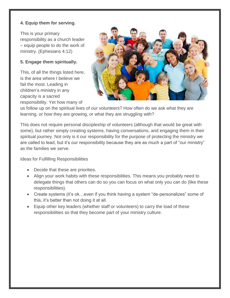## **4. Equip them for serving.**

This is your primary responsibility as a church leader – equip people to do the work of ministry. (Ephesians 4:12)

## **5. Engage them spiritually.**

This, of all the things listed here, is the area where I believe we fail the most. Leading in children's ministry in any capacity is a sacred responsibility. Yet how many of



us follow up on the spiritual lives of our volunteers? How often do we ask what they are learning, or how they are growing, or what they are struggling with?

This does not require personal discipleship of volunteers (although that would be great with some), but rather simply creating systems, having conversations, and engaging them in their spiritual journey. Not only is it our responsibility for the purpose of protecting the ministry we are called to lead, but it's our responsibility because they are as much a part of "our ministry" as the families we serve.

Ideas for Fulfilling Responsibilities

- Decide that these are priorities.
- Align your work habits with these responsibilities. This means you probably need to delegate things that others can do so you can focus on what only you can do (like these responsibilities).
- Create systems (it's ok…even if you think having a system "de-personalizes" some of this, it's better than not doing it at all.
- Equip other key leaders (whether staff or volunteers) to carry the load of these responsibilities so that they become part of your ministry culture.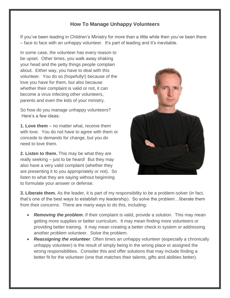## **How To Manage Unhappy Volunteers**

If you've been leading in Children's Ministry for more than a little while then you've been there – face to face with an unhappy volunteer. It's part of leading and it's inevitable.

In some case, the volunteer has every reason to be upset. Other times, you walk away shaking your head and the petty things people complain about. Either way, you have to deal with this volunteer. You do so (hopefully!) because of the love you have for them, but also because whether their complaint is valid or not, it can become a virus infecting other volunteers, parents and even the kids of your ministry.

So how do you manage unhappy volunteers? Here's a few ideas:

**1. Love them** – no matter what, receive them with love. You do not have to agree with them or concede to demands for change, but you do need to love them.

**2. Listen to them.** This may be what they are really seeking – just to be heard! But they may also have a very valid complaint (whether they are presenting it to you appropriately or not). So listen to what they are saying without beginning to formulate your answer or defense.



**3. Liberate them.** As the leader, it is part of my responsibility to be a problem-solver (in fact, that's one of the best ways to establish my leadership). So solve the problem…liberate them from their concerns. There are many ways to do this, including:

- *Removing the problem.* If their complaint is valid, provide a solution. This may mean getting more supplies or better curriculum. It may mean finding more volunteers or providing better training. It may mean creating a better check in system or addressing another problem volunteer. Solve the problem.
- *Reassigning the volunteer.* Often times an unhappy volunteer (especially a chronically unhappy volunteer) is the result of simply being in the wrong place or assigned the wrong responsibilities. Consider this and offer solutions that may include finding a better fit for the volunteer (one that matches their talents, gifts and abilities better).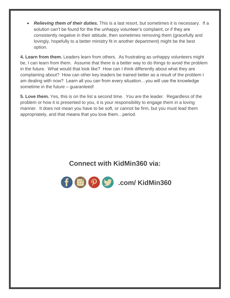*Relieving them of their duties.* This is a last resort, but sometimes it is necessary. If a solution can't be found for the the unhappy volunteer's complaint, or if they are consistently negative in their attitude, then sometimes removing them (gracefully and lovingly, hopefully to a better ministry fit in another department) might be the best option.

**4. Learn from them.** Leaders learn from others. As frustrating as unhappy volunteers might be, I can learn from them. Assume that there is a better way to do things to avoid the problem in the future. What would that look like? How can I think differently about what they are complaining about? How can other key leaders be trained better as a result of the problem I am dealing with now? Learn all you can from every situation…you will use the knowledge sometime in the future – guaranteed!

**5. Love them.** Yes, this is on the list a second time. You are the leader. Regardless of the problem or how it is presented to you, it is your responsibility to engage them in a loving manner. It does not mean you have to be soft, or cannot be firm, but you must lead them appropriately, and that means that you love them…period.

## **Connect with KidMin360 via:**

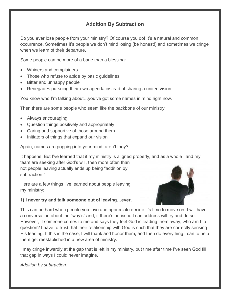## **Addition By Subtraction**

Do you ever lose people from your ministry? Of course you do! It's a natural and common occurrence. Sometimes it's people we don't mind losing (be honest!) and sometimes we cringe when we learn of their departure.

Some people can be more of a bane than a blessing:

- Whiners and complainers
- Those who refuse to abide by basic guidelines
- Bitter and unhappy people
- Renegades pursuing their own agenda instead of sharing a united vision

You know who I'm talking about…you've got some names in mind right now.

Then there are some people who seem like the backbone of our ministry:

- Always encouraging
- Question things positively and appropriately
- Caring and supportive of those around them
- Initiators of things that expand our vision

Again, names are popping into your mind, aren't they?

It happens. But I've learned that if my ministry is aligned properly, and as a whole I and my team are seeking after God's will, then more often than not people leaving actually ends up being "addition by subtraction."

Here are a few things I've learned about people leaving my ministry:



#### **1) I never try and talk someone out of leaving…ever.**

This can be hard when people you love and appreciate decide it's time to move on. I will have a conversation about the "why's" and, if there's an issue I can address will try and do so. However, if someone comes to me and says they feel God is leading them away, who am I to question? I have to trust that their relationship with God is such that they are correctly sensing His leading. If this is the case, I will thank and honor them, and then do everything I can to help them get reestablished in a new area of ministry.

I may cringe inwardly at the gap that is left in my ministry, but time after time I've seen God fill that gap in ways I could never imagine.

*Addition by subtraction.*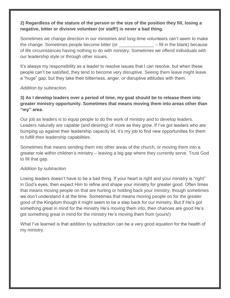### **2) Regardless of the stature of the person or the size of the position they fill, losing a negative, bitter or divisive volunteer (or staff!) is never a bad thing.**

Sometimes we change direction in our ministries and long-time volunteers can't seem to make the change. Sometimes people become bitter (or \_\_\_\_\_\_\_\_\_\_\_\_\_\_ – fill in the blank) because of life circumstances having nothing to do with ministry. Sometimes we offend individuals with our leadership style or through other issues.

It's always my responsibility as a leader to resolve issues that I can resolve, but when these people can't be satisfied, they tend to become very disruptive. Seeing them leave might leave a "huge" gap, but they take their bitterness, anger, or disruptive attitudes with them.

#### *Addition by subtraction.*

**3) As I develop leaders over a period of time, my goal should be to release them into greater ministry opportunity. Sometimes that means moving them into areas other than "my" area.**

Our job as leaders is to equip people to do the work of ministry *and* to develop leaders. Leaders naturally are capable (and desiring) of more as they grow. If I've got leaders who are bumping up against their leadership capacity lid, it's my job to find new opportunities for them to fulfill their leadership capabilities.

Sometimes that means sending them into other areas of the church, or moving them into a greater role within children's ministry – leaving a big gap where they currently serve. Trust God to fill that gap.

#### *Addition by subtraction.*

Losing leaders doesn't have to be a bad thing. If your heart is right and your ministry is "right" in God's eyes, then expect Him to refine and shape your ministry for greater good. Often times that means moving people on that are hurting or holding back your ministry, though sometimes we don't understand it at the time. Sometimes that means moving people on for the greater good of the Kingdom though it might seem to be a step back for our ministry. But if He's got something great in mind for the ministry He's moving them into, then chances are good He's got something great in mind for the ministry He's moving them from (yours!)

What I've learned is that addition by subtraction can be a very good equation for the health of my ministry.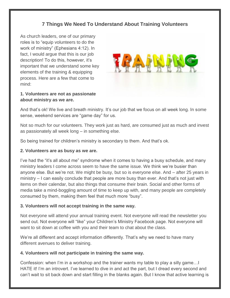## **7 Things We Need To Understand About Training Volunteers**

As church leaders, one of our primary roles is to "equip volunteers to do the work of ministry" (Ephesians 4:12). In fact, I would argue that this is our [job](http://kidmin360.com/one-sentence-kidmin-leader-job-description/)  [description!](http://kidmin360.com/one-sentence-kidmin-leader-job-description/) To do this, however, it's important that we understand some key elements of the training & equipping process. Here are a few that come to mind:

#### **1. Volunteers are not as passionate about ministry as we are.**



And that's ok! We live and breath ministry. It's our job that we focus on all week long. In some sense, weekend services are "game day" for us.

Not so much for our volunteers. They work just as hard, are consumed just as much and invest as passionately all week long – in something else.

So being trained for children's ministry is secondary to them. And that's ok.

#### **2. Volunteers are as busy as we are.**

I've had the "it's all about me" syndrome when it comes to having a busy schedule, and many ministry leaders I come across seem to have the same issue. We think we're busier than anyone else. But we're not. We might be busy, but so is everyone else. And – after 25 years in ministry – I can easily conclude that people are more busy than ever. And that's not just with items on their calendar, but also things that consume their brain. Social and other forms of media take a mind-boggling amount of time to keep up with, and many people are completely consumed by them, making them feel that much more "busy".

#### **3. Volunteers will not accept training in the same way.**

Not everyone will attend your annual training event. Not everyone will read the newsletter you send out. Not everyone will "like" your Children's Ministry Facebook page. Not everyone will want to sit down at coffee with you and their team to chat about the class.

We're all different and accept information differently. That's why we need to have many different avenues to deliver training.

#### **4. Volunteers will not participate in training the same way.**

Confession: when I'm in a workshop and the trainer wants my table to play a silly game…I HATE it! I'm an introvert. I've learned to dive in and act the part, but I dread every second and can't wait to sit back down and start filling in the blanks again. But I know that active learning is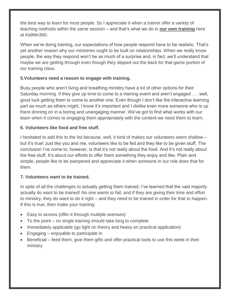the best way to learn for most people. So I appreciate it when a trainer offer a variety of teaching methods within the same session – and that's what we do in **[our own training](http://kidmin360.com/training/)** here at KidMin360.

When we're doing training, our expectations of how people respond have to be realistic. That's yet another reason why our ministries ought to be built on relationships. When we really know people, the way they respond won't be as much of a surprise and, in fact, we'll understand that maybe we are getting through even though they slipped out the back for that game portion of our training class.

#### **5.Volunteers need a reason to engage with training.**

Busy people who aren't living and breathing ministry have a lot of other options for their Saturday morning. If they give up time to come to a training event and aren't engaged . . . well, good luck getting them to come to another one. Even though I don't like the interactive learning part as much as others might, I know it's important and I dislike even more someone who is up there droning on in a boring and unengaging manner. We've got to find what works with our team when it comes to engaging them appropriately with the content we need them to learn.

#### **6. Volunteers like food and free stuff.**

I hesitated to add this to the list because, well, it kind of makes our volunteers seem shallow – but it's true! Just like you and me, volunteers like to be fed and they like to be given stuff. The conclusion I've come to, however, is that it's not really about the food. And it's not really about the free stuff. It's about our efforts to offer them something they enjoy and like. Plain and simple, people like to be pampered and appreciate it when someone in our role does that for them.

#### **7. Volunteers want to be trained.**

In spite of all the challenges to actually getting them trained, I've learned that the vast majority actually do want to be trained! No one wants to fail, and if they are giving their time and effort to ministry, they do want to do it right – and they need to be trained in order for that to happen. If this is true, then make your training:

- Easy to access (offer it through multiple avenues)
- To the point no single training should take long to complete
- Immediately applicable (go light on theory and heavy on practical application)
- Engaging enjoyable to participate in
- Beneficial feed them, give them gifts and offer practical tools to use this week in their ministry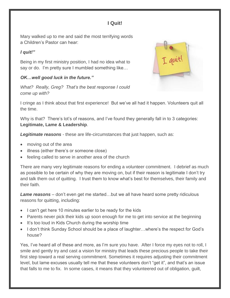## **I Quit!**

Mary walked up to me and said the most terrifying words a Children's Pastor can hear:

#### *I quit!"*

Being in my first ministry position, I had no idea what to say or do. I'm pretty sure I mumbled something like…

## *OK…well good luck in the future."*

*What? Really, Greg? That's the best response I could come up with?*



I cringe as I think about that first experience! But we've all had it happen. Volunteers quit all the time.

Why is that? There's lot's of reasons, and I've found they generally fall in to 3 categories: **Legitimate, Lame & Leadership**.

*Legitimate reasons* - these are life-circumstances that just happen, such as:

- moving out of the area
- illness (either there's or someone close)
- feeling called to serve in another area of the church

There are many very legitimate reasons for ending a volunteer commitment. I debrief as much as possible to be certain of why they are moving on, but if their reason is legitimate I don't try and talk them out of quitting. I trust them to know what's best for themselves, their family and their faith.

*Lame reasons –* don't even get me started…but we all have heard some pretty ridiculous reasons for quitting, including:

- I can't get here 10 minutes earlier to be ready for the kids
- Parents never pick their kids up soon enough for me to get into service at the beginning
- It's too loud in Kids Church during the worship time
- I don't think Sunday School should be a place of laughter...where's the respect for God's house?

Yes, I've heard all of these and more, as I'm sure you have. After I force my eyes not to roll, I smile and gently try and cast a vision for ministry that leads these precious people to take their first step toward a real serving commitment. Sometimes it requires adjusting their commitment level, but lame excuses usually tell me that these volunteers don't "get it", and that's an issue that falls to me to fix. In some cases, it means that they volunteered out of obligation, guilt,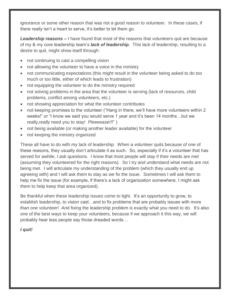ignorance or some other reason that was not a good reason to volunteer. In these cases, if there really isn't a heart to serve, it's better to let them go.

*Leadership reasons –* I have found that most of the reasons that volunteers quit are because of my & my core leadership team's *lack of leadership*. This lack of leadership, resulting to a desire to quit, might show itself through:

- not continuing to cast a compelling vision
- not allowing the volunteer to have a voice in the ministry
- not communicating expectations (this might result in the volunteer being asked to do too much or too little, either of which leads to frustration)
- not equipping the volunteer to do the ministry required
- not solving problems in the area that the volunteer is serving (lack of resources, child problems, conflict among volunteers, etc.)
- not showing appreciation for what the volunteer contributes
- not keeping promises to the volunteer ("Hang in there, we'll have more volunteers within 2 weeks!" or "I know we said you would serve 1 year and it's been 14 months…but we really,*really* need you to stay! *Pleeeease!!*!" )
- not being available (or making another leader available) for the volunteer
- not keeping the ministry organized

These all have to do with my lack of leadership. When a volunteer quits because of one of these reasons, they usually don't articulate it as such. So, especially if it's a volunteer that has served for awhile, I ask questions. I know that most people will stay if their needs are met (assuming they volunteered for the right reasons). So I try and understand what needs are not being met. I will articulate my understanding of the problem (which they usually end up agreeing with) and I will ask them to stay as we fix the issue. Sometimes I will ask them to help me fix the issue (for example, if there's a lack of organization somewhere, I might ask them to help keep that area organized).

Be thankful when these leadership issues come to light. It's an opportunity to grow, to establish leadership, to vision cast…and to fix problems that are probably issues with more than one volunteer! And fixing the leadership problem is exactly what you need to do. It's also one of the best ways to keep your volunteers, because if we approach it this way, we will probably hear less people say those dreaded words…

#### *I quit!*